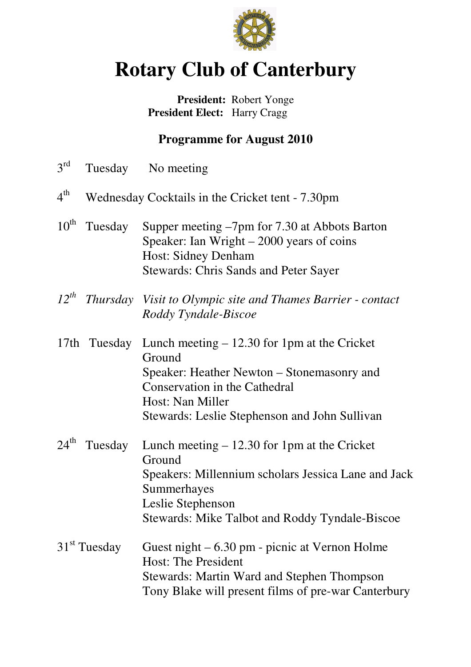

# **Rotary Club of Canterbury**

### **President:** Robert Yonge  **President Elect:** Harry Cragg

## **Programme for August 2010**

| $3^{\text{rd}}$  |                          | Tuesday No meeting                                                                                                                                                                                          |
|------------------|--------------------------|-------------------------------------------------------------------------------------------------------------------------------------------------------------------------------------------------------------|
| $4^{\text{th}}$  |                          | Wednesday Cocktails in the Cricket tent - 7.30pm                                                                                                                                                            |
| $10^{\text{th}}$ | Tuesday                  | Supper meeting $-7$ pm for 7.30 at Abbots Barton<br>Speaker: Ian Wright $-2000$ years of coins<br><b>Host: Sidney Denham</b><br><b>Stewards: Chris Sands and Peter Sayer</b>                                |
| $12^{th}$        |                          | Thursday Visit to Olympic site and Thames Barrier - contact<br>Roddy Tyndale-Biscoe                                                                                                                         |
| 17th             | Tuesday                  | Lunch meeting $-12.30$ for 1pm at the Cricket<br>Ground<br>Speaker: Heather Newton – Stonemasonry and<br>Conservation in the Cathedral<br>Host: Nan Miller<br>Stewards: Leslie Stephenson and John Sullivan |
|                  | $24^{\text{th}}$ Tuesday | Lunch meeting $-12.30$ for 1pm at the Cricket<br>Ground<br>Speakers: Millennium scholars Jessica Lane and Jack<br>Summerhayes<br>Leslie Stephenson<br>Stewards: Mike Talbot and Roddy Tyndale-Biscoe        |
|                  | $31st$ Tuesday           | Guest night $-6.30$ pm - picnic at Vernon Holme<br><b>Host: The President</b><br><b>Stewards: Martin Ward and Stephen Thompson</b><br>Tony Blake will present films of pre-war Canterbury                   |